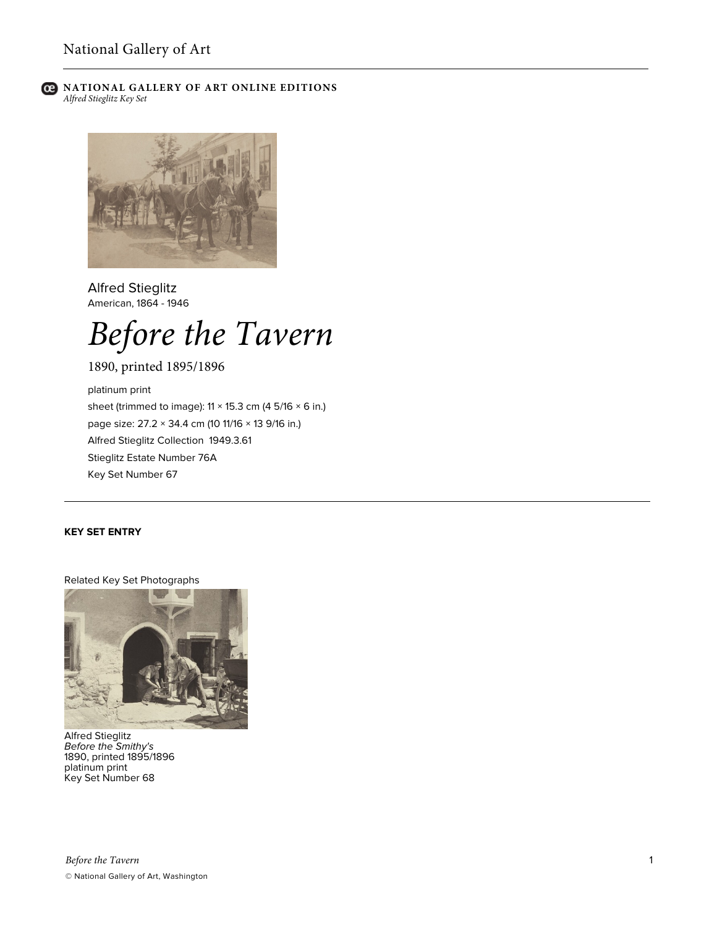

## **C** NATIONAL GALLERY OF ART ONLINE EDITIONS *Alfred Stieglitz Key Set*



Alfred Stieglitz American, 1864 - 1946

# *Before the Tavern*

1890, printed 1895/1896

platinum print sheet (trimmed to image):  $11 \times 15.3$  cm (4 5/16  $\times$  6 in.) page size: 27.2 × 34.4 cm (10 11/16 × 13 9/16 in.) Alfred Stieglitz Collection 1949.3.61 Stieglitz Estate Number 76A Key Set Number 67

## **KEY SET ENTRY**

Related Key Set Photographs



Alfred Stieglitz *Before the Smithy's* 1890, printed 1895/1896 platinum print Key Set Number 68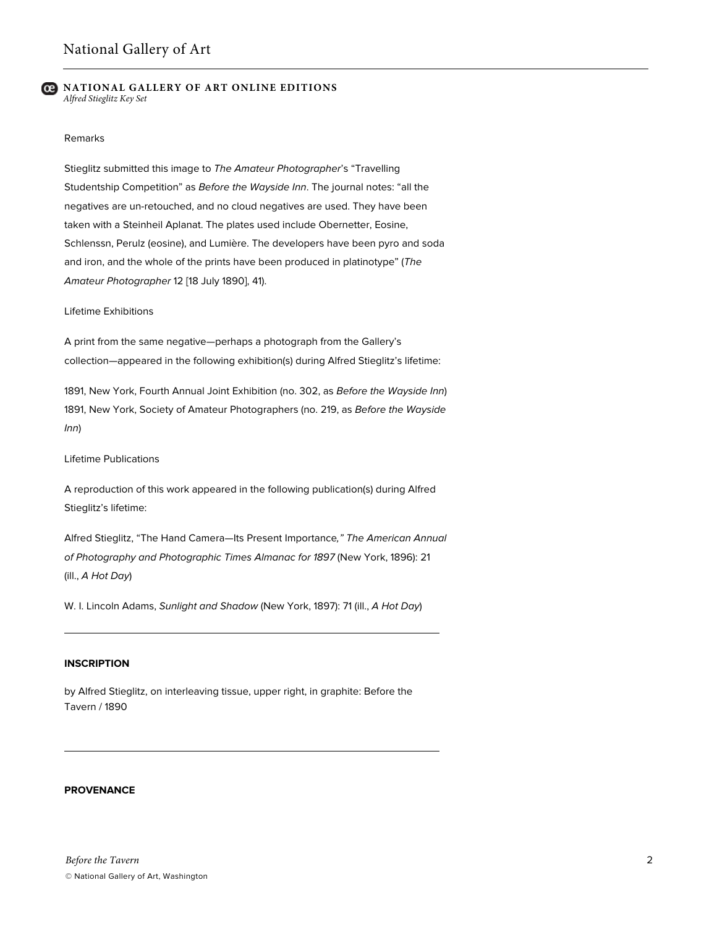### **NATIONAL GALLERY OF ART ONLINE EDITIONS** *Alfred Stieglitz Key Set*

## Remarks

Stieglitz submitted this image to *The Amateur Photographer*'s "Travelling Studentship Competition" as *Before the Wayside Inn*. The journal notes: "all the negatives are un-retouched, and no cloud negatives are used. They have been taken with a Steinheil Aplanat. The plates used include Obernetter, Eosine, Schlenssn, Perulz (eosine), and Lumière. The developers have been pyro and soda and iron, and the whole of the prints have been produced in platinotype" (*The Amateur Photographer* 12 [18 July 1890], 41).

#### Lifetime Exhibitions

A print from the same negative—perhaps a photograph from the Gallery's collection—appeared in the following exhibition(s) during Alfred Stieglitz's lifetime:

1891, New York, Fourth Annual Joint Exhibition (no. 302, as *Before the Wayside Inn*) 1891, New York, Society of Amateur Photographers (no. 219, as *Before the Wayside Inn*)

Lifetime Publications

A reproduction of this work appeared in the following publication(s) during Alfred Stieglitz's lifetime:

Alfred Stieglitz, "The Hand Camera—Its Present Importance*," The American Annual of Photography and Photographic Times Almanac for 1897* (New York, 1896): 21 (ill., *A Hot Day*)

W. I. Lincoln Adams, *Sunlight and Shadow* (New York, 1897): 71 (ill., *A Hot Day*)

## **INSCRIPTION**

by Alfred Stieglitz, on interleaving tissue, upper right, in graphite: Before the Tavern / 1890

# **PROVENANCE**